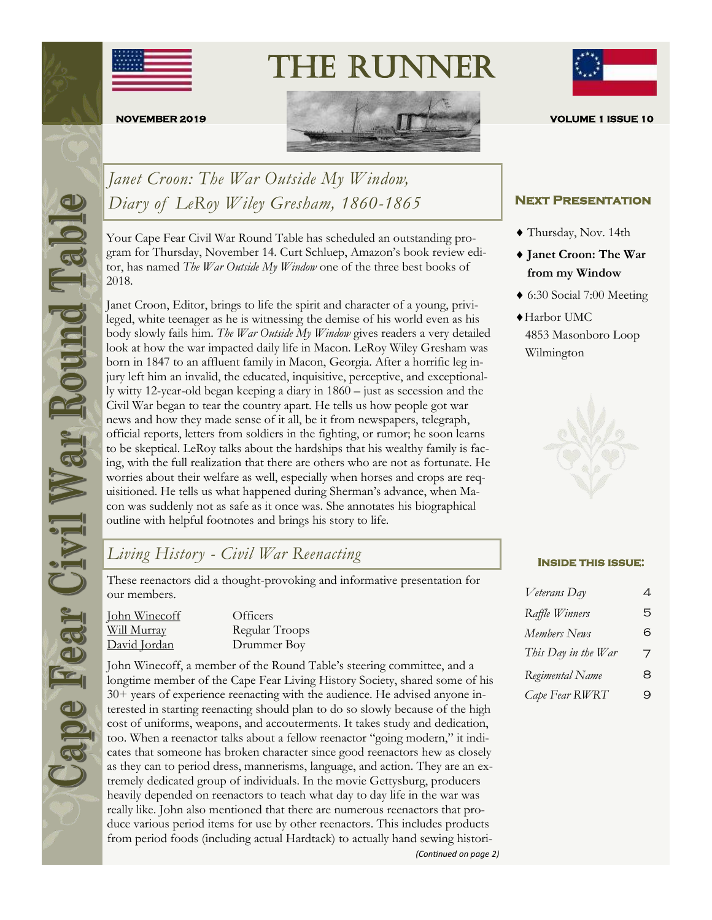

The Runner



*Janet Croon: The War Outside My Window, Diary of LeRoy Wiley Gresham, 1860-1865*

Your Cape Fear Civil War Round Table has scheduled an outstanding program for Thursday, November 14. Curt Schluep, Amazon's book review editor, has named *The War Outside My Window* one of the three best books of 2018.

Janet Croon, Editor, brings to life the spirit and character of a young, privileged, white teenager as he is witnessing the demise of his world even as his body slowly fails him. *The War Outside My Window* gives readers a very detailed look at how the war impacted daily life in Macon. LeRoy Wiley Gresham was born in 1847 to an affluent family in Macon, Georgia. After a horrific leg injury left him an invalid, the educated, inquisitive, perceptive, and exceptionally witty 12-year-old began keeping a diary in 1860 – just as secession and the Civil War began to tear the country apart. He tells us how people got war news and how they made sense of it all, be it from newspapers, telegraph, official reports, letters from soldiers in the fighting, or rumor; he soon learns to be skeptical. LeRoy talks about the hardships that his wealthy family is facing, with the full realization that there are others who are not as fortunate. He worries about their welfare as well, especially when horses and crops are requisitioned. He tells us what happened during Sherman's advance, when Macon was suddenly not as safe as it once was. She annotates his biographical outline with helpful footnotes and brings his story to life.

# *Living History - Civil War Reenacting* **Inside this issue:**

These reenactors did a thought-provoking and informative presentation for our members.

John Winecoff Officers Will Murray Regular Troops David Jordan Drummer Boy

John Winecoff, a member of the Round Table's steering committee, and a longtime member of the Cape Fear Living History Society, shared some of his 30+ years of experience reenacting with the audience. He advised anyone interested in starting reenacting should plan to do so slowly because of the high cost of uniforms, weapons, and accouterments. It takes study and dedication, too. When a reenactor talks about a fellow reenactor "going modern," it indicates that someone has broken character since good reenactors hew as closely as they can to period dress, mannerisms, language, and action. They are an extremely dedicated group of individuals. In the movie Gettysburg, producers heavily depended on reenactors to teach what day to day life in the war was really like. John also mentioned that there are numerous reenactors that produce various period items for use by other reenactors. This includes products from period foods (including actual Hardtack) to actually hand sewing histori- *(Continued on page 2)*



#### **Next Presentation**

- Thursday, Nov. 14th
- **Janet Croon: The War from my Window**
- 6:30 Social 7:00 Meeting
- Harbor UMC 4853 Masonboro Loop Wilmington



| Veterans Day        | 4 |
|---------------------|---|
| Raffle Winners      | 5 |
| Members News        | 6 |
| This Day in the War | 7 |
| Regimental Name     | 8 |
| Cape Fear RWRT      | 9 |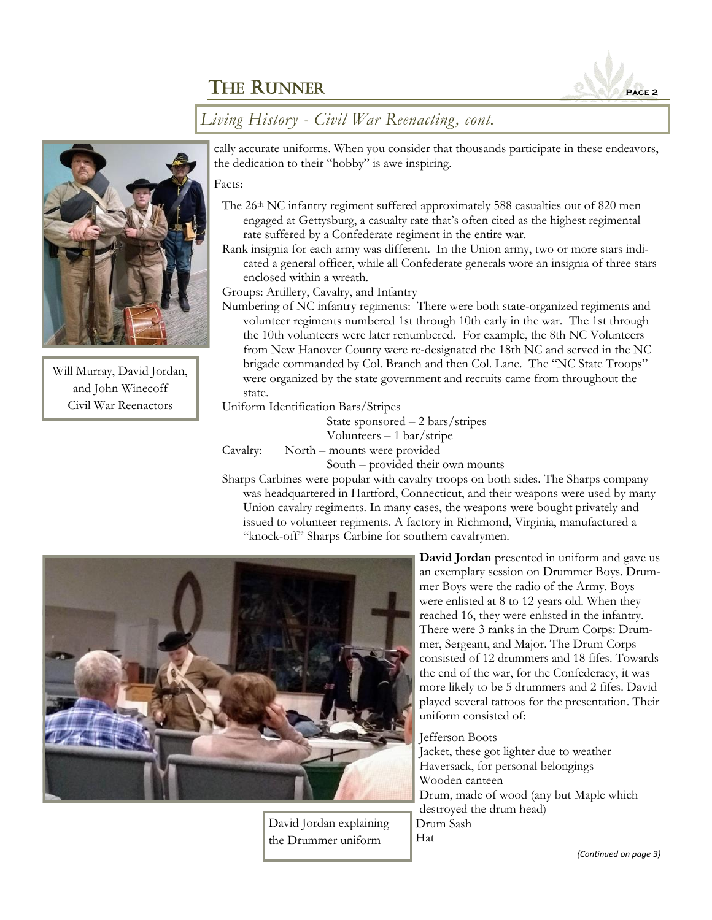

### *Living History - Civil War Reenacting, cont.*



Will Murray, David Jordan, and John Winecoff Civil War Reenactors

cally accurate uniforms. When you consider that thousands participate in these endeavors, the dedication to their "hobby" is awe inspiring.

#### Facts:

- The 26th NC infantry regiment suffered approximately 588 casualties out of 820 men engaged at Gettysburg, a casualty rate that's often cited as the highest regimental rate suffered by a Confederate regiment in the entire war.
- Rank insignia for each army was different. In the Union army, two or more stars indicated a general officer, while all Confederate generals wore an insignia of three stars enclosed within a wreath.

Groups: Artillery, Cavalry, and Infantry

Numbering of NC infantry regiments: There were both state-organized regiments and volunteer regiments numbered 1st through 10th early in the war. The 1st through the 10th volunteers were later renumbered. For example, the 8th NC Volunteers from New Hanover County were re-designated the 18th NC and served in the NC brigade commanded by Col. Branch and then Col. Lane. The "NC State Troops" were organized by the state government and recruits came from throughout the state.

Uniform Identification Bars/Stripes

State sponsored – 2 bars/stripes Volunteers – 1 bar/stripe Cavalry: North – mounts were provided

South – provided their own mounts

Sharps Carbines were popular with cavalry troops on both sides. The Sharps company was headquartered in Hartford, Connecticut, and their weapons were used by many Union cavalry regiments. In many cases, the weapons were bought privately and issued to volunteer regiments. A factory in Richmond, Virginia, manufactured a "knock-off" Sharps Carbine for southern cavalrymen.



David Jordan explaining the Drummer uniform

**David Jordan** presented in uniform and gave us an exemplary session on Drummer Boys. Drummer Boys were the radio of the Army. Boys were enlisted at 8 to 12 years old. When they reached 16, they were enlisted in the infantry. There were 3 ranks in the Drum Corps: Drummer, Sergeant, and Major. The Drum Corps consisted of 12 drummers and 18 fifes. Towards the end of the war, for the Confederacy, it was more likely to be 5 drummers and 2 fifes. David played several tattoos for the presentation. Their uniform consisted of:

#### Jefferson Boots

Jacket, these got lighter due to weather Haversack, for personal belongings Wooden canteen Drum, made of wood (any but Maple which destroyed the drum head) Drum Sash Hat

*(Continued on page 3)*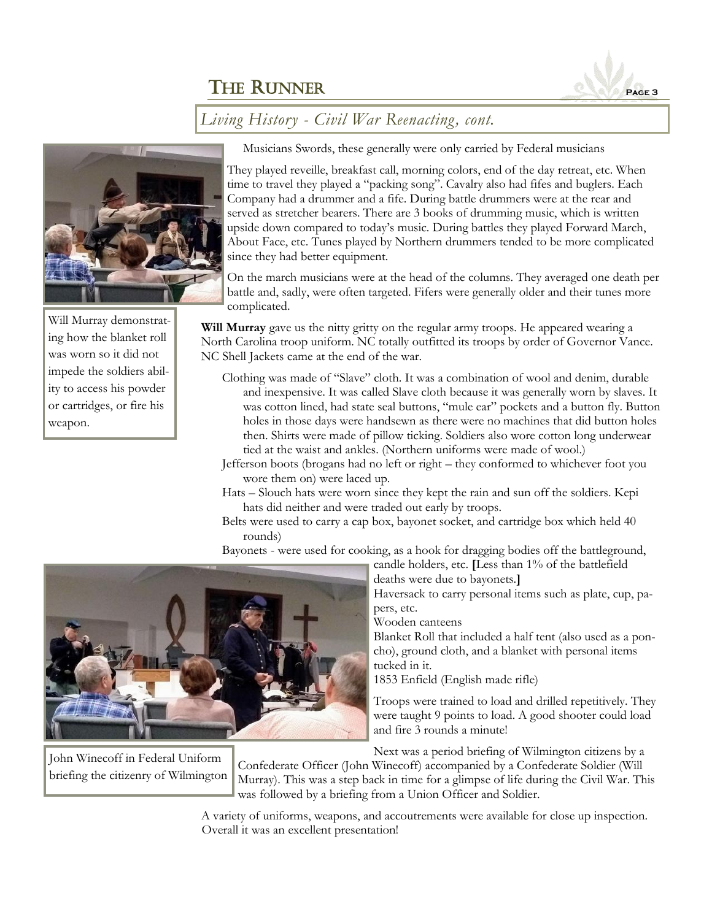

### *Living History - Civil War Reenacting, cont.*



Will Murray demonstrating how the blanket roll was worn so it did not impede the soldiers ability to access his powder or cartridges, or fire his weapon.

Musicians Swords, these generally were only carried by Federal musicians

They played reveille, breakfast call, morning colors, end of the day retreat, etc. When time to travel they played a "packing song". Cavalry also had fifes and buglers. Each Company had a drummer and a fife. During battle drummers were at the rear and served as stretcher bearers. There are 3 books of drumming music, which is written upside down compared to today's music. During battles they played Forward March, About Face, etc. Tunes played by Northern drummers tended to be more complicated since they had better equipment.

On the march musicians were at the head of the columns. They averaged one death per battle and, sadly, were often targeted. Fifers were generally older and their tunes more complicated.

**Will Murray** gave us the nitty gritty on the regular army troops. He appeared wearing a North Carolina troop uniform. NC totally outfitted its troops by order of Governor Vance. NC Shell Jackets came at the end of the war.

- Clothing was made of "Slave" cloth. It was a combination of wool and denim, durable and inexpensive. It was called Slave cloth because it was generally worn by slaves. It was cotton lined, had state seal buttons, "mule ear" pockets and a button fly. Button holes in those days were handsewn as there were no machines that did button holes then. Shirts were made of pillow ticking. Soldiers also wore cotton long underwear tied at the waist and ankles. (Northern uniforms were made of wool.)
- Jefferson boots (brogans had no left or right they conformed to whichever foot you wore them on) were laced up.
- Hats Slouch hats were worn since they kept the rain and sun off the soldiers. Kepi hats did neither and were traded out early by troops.
- Belts were used to carry a cap box, bayonet socket, and cartridge box which held 40 rounds)

Bayonets - were used for cooking, as a hook for dragging bodies off the battleground,



John Winecoff in Federal Uniform briefing the citizenry of Wilmington deaths were due to bayonets.**]** Haversack to carry personal items such as plate, cup, papers, etc.

candle holders, etc. **[**Less than 1% of the battlefield

Wooden canteens

Blanket Roll that included a half tent (also used as a poncho), ground cloth, and a blanket with personal items tucked in it.

1853 Enfield (English made rifle)

Troops were trained to load and drilled repetitively. They were taught 9 points to load. A good shooter could load and fire 3 rounds a minute!

Next was a period briefing of Wilmington citizens by a

Confederate Officer (John Winecoff) accompanied by a Confederate Soldier (Will Murray). This was a step back in time for a glimpse of life during the Civil War. This was followed by a briefing from a Union Officer and Soldier.

A variety of uniforms, weapons, and accoutrements were available for close up inspection. Overall it was an excellent presentation!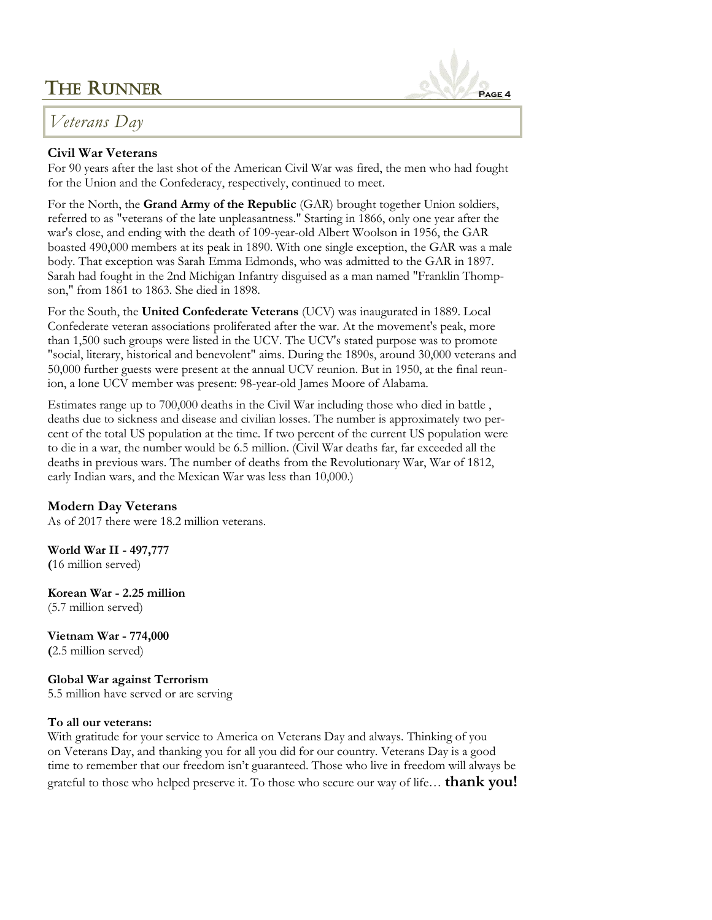## *Veterans Day*

#### **Civil War Veterans**

For 90 years after the last shot of the American Civil War was fired, the men who had fought for the Union and the Confederacy, respectively, continued to meet.

For the North, the **Grand Army of the Republic** (GAR) brought together Union soldiers, referred to as "veterans of the late unpleasantness." Starting in 1866, only one year after the war's close, and ending with the death of 109-year-old Albert Woolson in 1956, the GAR boasted 490,000 members at its peak in 1890. With one single exception, the GAR was a male body. That exception was Sarah Emma Edmonds, who was admitted to the GAR in 1897. Sarah had fought in the 2nd Michigan Infantry disguised as a man named "Franklin Thompson," from 1861 to 1863. She died in 1898.

For the South, the **United Confederate Veterans** (UCV) was inaugurated in 1889. Local Confederate veteran associations proliferated after the war. At the movement's peak, more than 1,500 such groups were listed in the UCV. The UCV's stated purpose was to promote "social, literary, historical and benevolent" aims. During the 1890s, around 30,000 veterans and 50,000 further guests were present at the annual UCV reunion. But in 1950, at the final reunion, a lone UCV member was present: 98-year-old James Moore of Alabama.

Estimates range up to 700,000 deaths in the Civil War including those who died in battle , deaths due to sickness and disease and civilian losses. The number is approximately two percent of the total US population at the time. If two percent of the current US population were to die in a war, the number would be 6.5 million. (Civil War deaths far, far exceeded all the deaths in previous wars. The number of deaths from the Revolutionary War, War of 1812, early Indian wars, and the Mexican War was less than 10,000.)

#### **Modern Day Veterans**

As of 2017 there were 18.2 million veterans.

**World War II - 497,777 (**16 million served)

**Korean War - 2.25 million** (5.7 million served)

**Vietnam War - 774,000 (**2.5 million served)

**Global War against Terrorism**  5.5 million have served or are serving

#### **To all our veterans:**

With gratitude for your service to America on Veterans Day and always. Thinking of you on Veterans Day, and thanking you for all you did for our country. Veterans Day is a good time to remember that our freedom isn't guaranteed. Those who live in freedom will always be grateful to those who helped preserve it. To those who secure our way of life… **thank you!**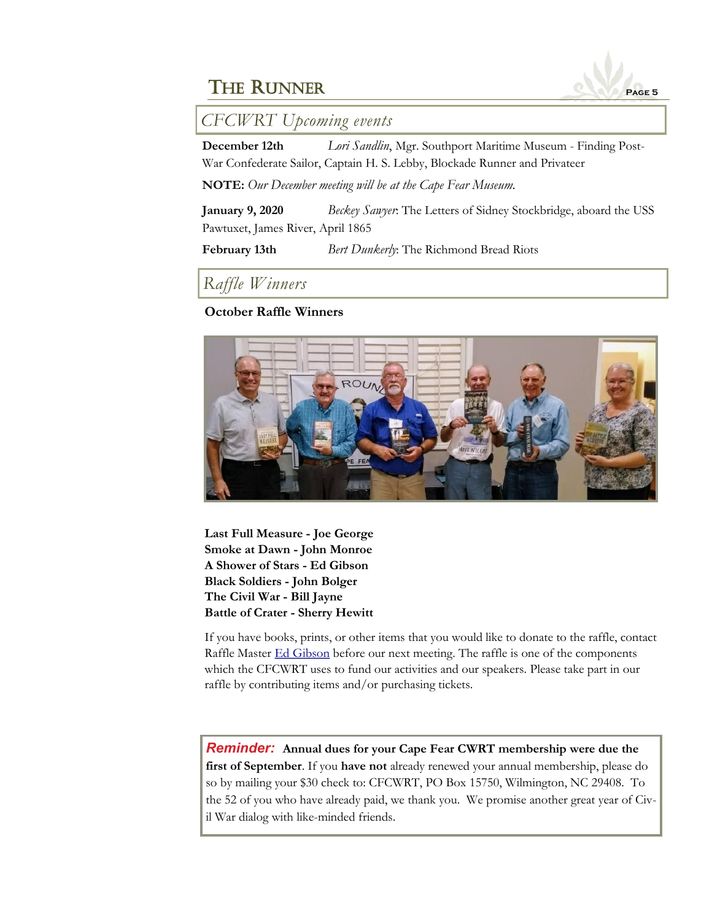

*CFCWRT Upcoming events*

**December 12th** *Lori Sandlin*, Mgr. Southport Maritime Museum - Finding Post-War Confederate Sailor, Captain H. S. Lebby, Blockade Runner and Privateer

**NOTE:** *Our December meeting will be at the Cape Fear Museum.*

**January 9, 2020** *Beckey Sawyer*: The Letters of Sidney Stockbridge, aboard the USS Pawtuxet, James River, April 1865

**February 13th** *Bert Dunkerly*: The Richmond Bread Riots

*Raffle Winners*

#### **October Raffle Winners**



**Last Full Measure - Joe George Smoke at Dawn - John Monroe A Shower of Stars - Ed Gibson Black Soldiers - John Bolger The Civil War - Bill Jayne Battle of Crater - Sherry Hewitt**

If you have books, prints, or other items that you would like to donate to the raffle, contact Raffle Master [Ed Gibson](mailto:egibson759@aol.com) before our next meeting. The raffle is one of the components which the CFCWRT uses to fund our activities and our speakers. Please take part in our raffle by contributing items and/or purchasing tickets.

*Reminder:* **Annual dues for your Cape Fear CWRT membership were due the first of September**. If you **have not** already renewed your annual membership, please do so by mailing your \$30 check to: CFCWRT, PO Box 15750, Wilmington, NC 29408. To the 52 of you who have already paid, we thank you. We promise another great year of Civil War dialog with like-minded friends.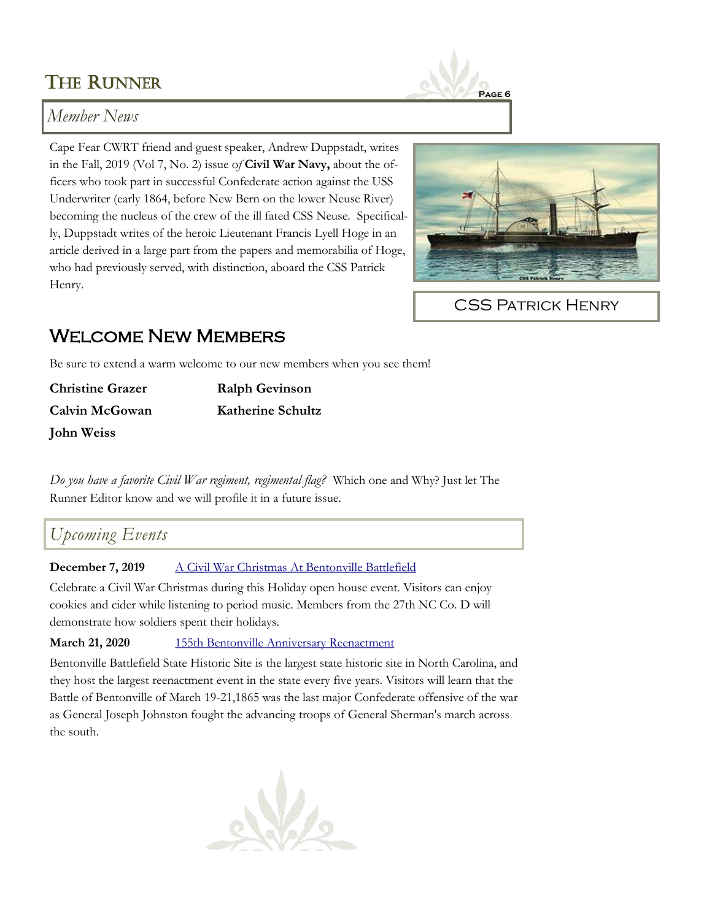# THE RUNNER



### *Member News*

Cape Fear CWRT friend and guest speaker, Andrew Duppstadt, writes in the Fall, 2019 (Vol 7, No. 2) issue o*f* **Civil War Navy,** about the officers who took part in successful Confederate action against the USS Underwriter (early 1864, before New Bern on the lower Neuse River) becoming the nucleus of the crew of the ill fated CSS Neuse. Specifically, Duppstadt writes of the heroic Lieutenant Francis Lyell Hoge in an article derived in a large part from the papers and memorabilia of Hoge, who had previously served, with distinction, aboard the CSS Patrick Henry.



CSS Patrick Henry

## Welcome New Members

Be sure to extend a warm welcome to our new members when you see them!

| <b>Christine Grazer</b> | <b>Ralph Gevinson</b>    |
|-------------------------|--------------------------|
| Calvin McGowan          | <b>Katherine Schultz</b> |
| John Weiss              |                          |

*Do you have a favorite Civil War regiment, regimental flag?* Which one and Why? Just let The Runner Editor know and we will profile it in a future issue.

## *Upcoming Events*

**December 7, 2019** [A Civil War Christmas At Bentonville Battlefield](https://historicsites.nc.gov/events/civil-war-christmas-bentonville-battlefield)

Celebrate a Civil War Christmas during this Holiday open house event. Visitors can enjoy cookies and cider while listening to period music. Members from the 27th NC Co. D will demonstrate how soldiers spent their holidays.

**March 21, 2020** [155th Bentonville Anniversary Reenactment](https://historicsites.nc.gov/events/155th-bentonville-reenactment)

Bentonville Battlefield State Historic Site is the largest state historic site in North Carolina, and they host the largest reenactment event in the state every five years. Visitors will learn that the Battle of Bentonville of March 19-21,1865 was the last major Confederate offensive of the war as General Joseph Johnston fought the advancing troops of General Sherman's march across the south.

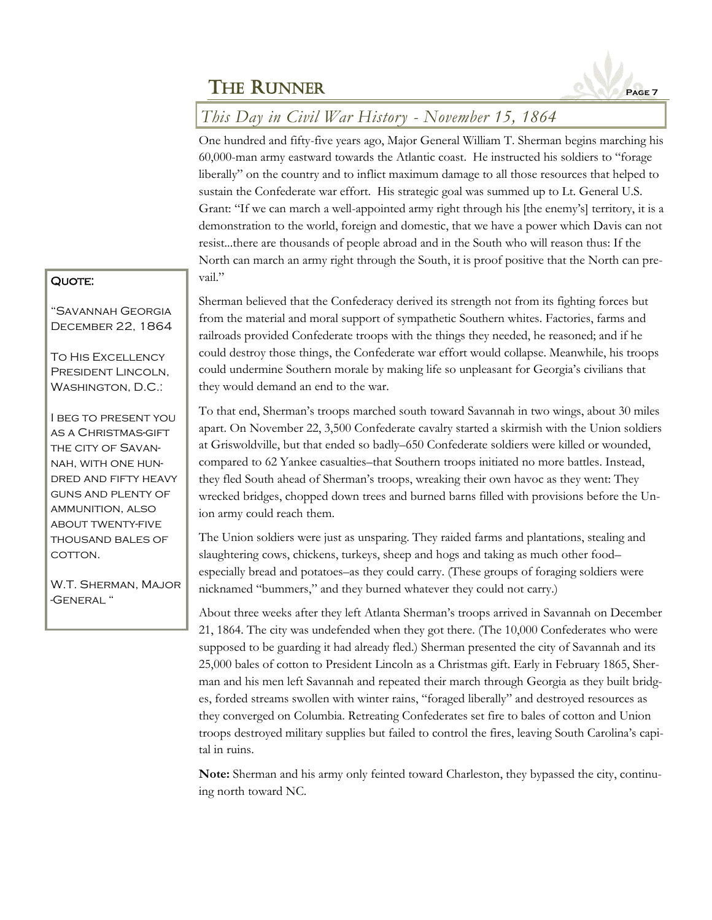

## *This Day in Civil War History - November 15, 1864*

One hundred and fifty-five years ago, Major General William T. Sherman begins marching his 60,000-man army eastward towards the Atlantic coast. He instructed his soldiers to "forage liberally" on the country and to inflict maximum damage to all those resources that helped to sustain the Confederate war effort. His strategic goal was summed up to Lt. General U.S. Grant: "If we can march a well-appointed army right through his [the enemy's] territory, it is a demonstration to the world, foreign and domestic, that we have a power which Davis can not resist...there are thousands of people abroad and in the South who will reason thus: If the North can march an army right through the South, it is proof positive that the North can prevail."

#### QUOTE:

"Savannah Georgia December 22, 1864

To His Excellency President Lincoln, WASHINGTON, D.C.:

I beg to present you as a Christmas-gift the city of Savannah, with one hundred and fifty heavy guns and plenty of ammunition, also about twenty-five thousand bales of cotton.

W.T. Sherman, Major -General "

Sherman believed that the Confederacy derived its strength not from its fighting forces but from the material and moral support of sympathetic Southern whites. Factories, farms and railroads provided Confederate troops with the things they needed, he reasoned; and if he could destroy those things, the Confederate war effort would collapse. Meanwhile, his troops could undermine Southern morale by making life so unpleasant for Georgia's civilians that they would demand an end to the war.

To that end, Sherman's troops marched south toward Savannah in two wings, about 30 miles apart. On November 22, 3,500 Confederate cavalry started a skirmish with the Union soldiers at Griswoldville, but that ended so badly–650 Confederate soldiers were killed or wounded, compared to 62 Yankee casualties–that Southern troops initiated no more battles. Instead, they fled South ahead of Sherman's troops, wreaking their own havoc as they went: They wrecked bridges, chopped down trees and burned barns filled with provisions before the Union army could reach them.

The Union soldiers were just as unsparing. They raided farms and plantations, stealing and slaughtering cows, chickens, turkeys, sheep and hogs and taking as much other food– especially bread and potatoes–as they could carry. (These groups of foraging soldiers were nicknamed "bummers," and they burned whatever they could not carry.)

About three weeks after they left Atlanta Sherman's troops arrived in Savannah on December 21, 1864. The city was undefended when they got there. (The 10,000 Confederates who were supposed to be guarding it had already fled.) Sherman presented the city of Savannah and its 25,000 bales of cotton to President Lincoln as a Christmas gift. Early in February 1865, Sherman and his men left Savannah and repeated their march through Georgia as they built bridges, forded streams swollen with winter rains, "foraged liberally" and destroyed resources as they converged on Columbia. Retreating Confederates set fire to bales of cotton and Union troops destroyed military supplies but failed to control the fires, leaving South Carolina's capital in ruins.

**Note:** Sherman and his army only feinted toward Charleston, they bypassed the city, continuing north toward NC.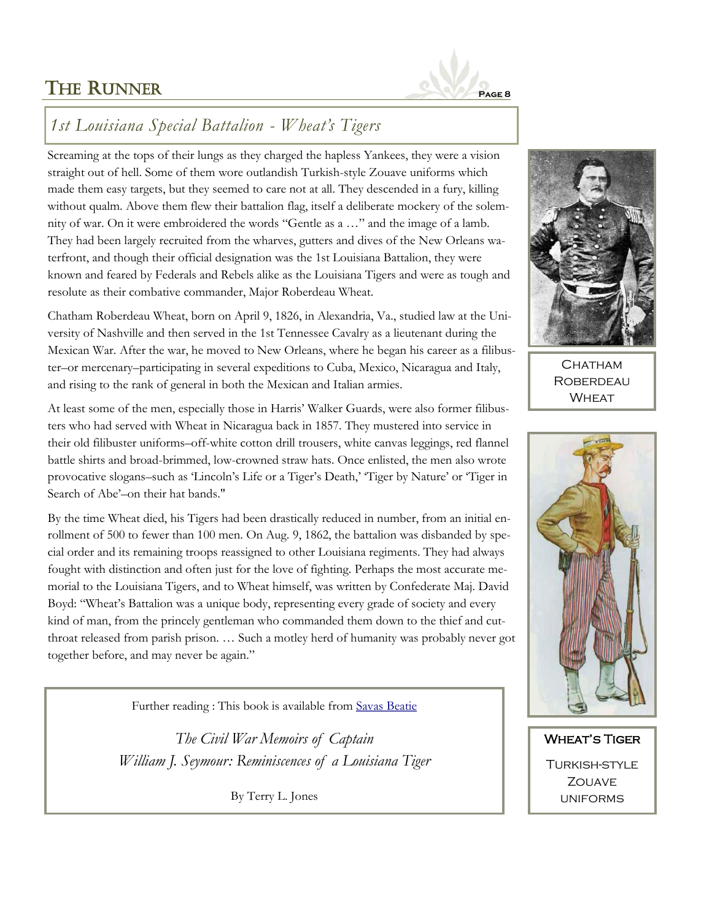

## *1st Louisiana Special Battalion - Wheat's Tigers*

Screaming at the tops of their lungs as they charged the hapless Yankees, they were a vision straight out of hell. Some of them wore outlandish Turkish-style Zouave uniforms which made them easy targets, but they seemed to care not at all. They descended in a fury, killing without qualm. Above them flew their battalion flag, itself a deliberate mockery of the solemnity of war. On it were embroidered the words "Gentle as a …" and the image of a lamb. They had been largely recruited from the wharves, gutters and dives of the New Orleans waterfront, and though their official designation was the 1st Louisiana Battalion, they were known and feared by Federals and Rebels alike as the Louisiana Tigers and were as tough and resolute as their combative commander, Major Roberdeau Wheat.

Chatham Roberdeau Wheat, born on April 9, 1826, in Alexandria, Va., studied law at the University of Nashville and then served in the 1st Tennessee Cavalry as a lieutenant during the Mexican War. After the war, he moved to New Orleans, where he began his career as a filibuster–or mercenary–participating in several expeditions to Cuba, Mexico, Nicaragua and Italy, and rising to the rank of general in both the Mexican and Italian armies.

At least some of the men, especially those in Harris' Walker Guards, were also former filibusters who had served with Wheat in Nicaragua back in 1857. They mustered into service in their old filibuster uniforms–off-white cotton drill trousers, white canvas leggings, red flannel battle shirts and broad-brimmed, low-crowned straw hats. Once enlisted, the men also wrote provocative slogans–such as 'Lincoln's Life or a Tiger's Death,' 'Tiger by Nature' or 'Tiger in Search of Abe'–on their hat bands."

By the time Wheat died, his Tigers had been drastically reduced in number, from an initial enrollment of 500 to fewer than 100 men. On Aug. 9, 1862, the battalion was disbanded by special order and its remaining troops reassigned to other Louisiana regiments. They had always fought with distinction and often just for the love of fighting. Perhaps the most accurate memorial to the Louisiana Tigers, and to Wheat himself, was written by Confederate Maj. David Boyd: "Wheat's Battalion was a unique body, representing every grade of society and every kind of man, from the princely gentleman who commanded them down to the thief and cutthroat released from parish prison. … Such a motley herd of humanity was probably never got together before, and may never be again."

Further reading : This book is available from [Savas Beatie](https://www.savasbeatie.com/the-civil-war-memoirs-of-captain-william-j-seymour-reminiscences-of-a-louisiana-tiger/)

*The Civil War Memoirs of Captain William J. Seymour: Reminiscences of a Louisiana Tiger*

By Terry L. Jones



CHATHAM **ROBERDEAU WHEAT** 



Wheat's Tiger Turkish-style **ZOUAVE** uniforms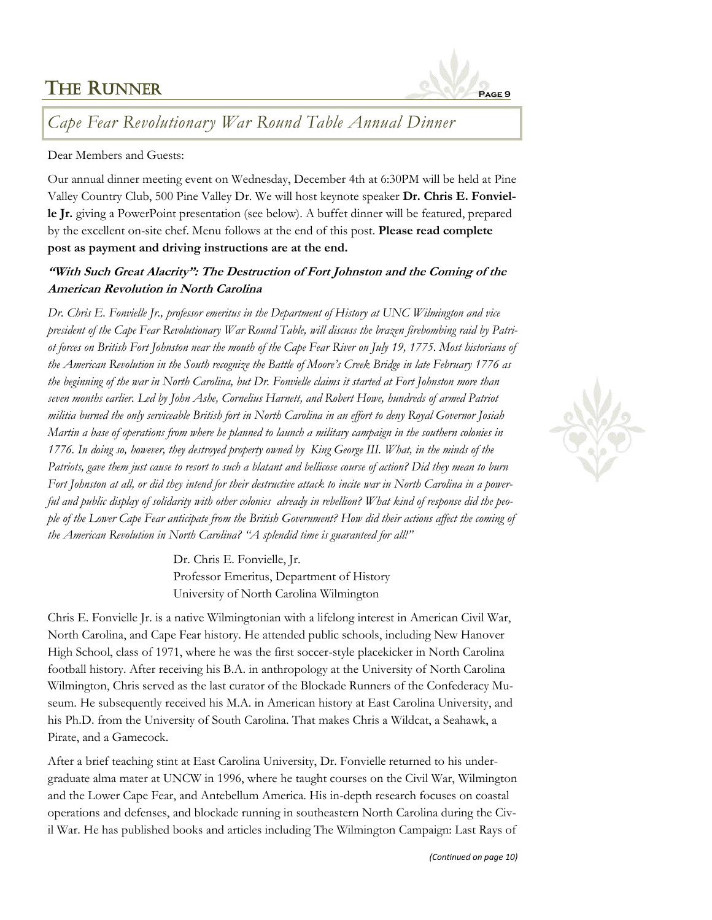## THE RUNNER



*Cape Fear Revolutionary War Round Table Annual Dinner*

#### Dear Members and Guests:

Our annual dinner meeting event on Wednesday, December 4th at 6:30PM will be held at Pine Valley Country Club, 500 Pine Valley Dr. We will host keynote speaker **Dr. Chris E. Fonvielle Jr.** giving a PowerPoint presentation (see below). A buffet dinner will be featured, prepared by the excellent on-site chef. Menu follows at the end of this post. **Please read complete post as payment and driving instructions are at the end.**

#### **"With Such Great Alacrity": The Destruction of Fort Johnston and the Coming of the American Revolution in North Carolina**

*Dr. Chris E. Fonvielle Jr., professor emeritus in the Department of History at UNC Wilmington and vice president of the Cape Fear Revolutionary War Round Table, will discuss the brazen firebombing raid by Patriot forces on British Fort Johnston near the mouth of the Cape Fear River on July 19, 1775. Most historians of the American Revolution in the South recognize the Battle of Moore's Creek Bridge in late February 1776 as the beginning of the war in North Carolina, but Dr. Fonvielle claims it started at Fort Johnston more than seven months earlier. Led by John Ashe, Cornelius Harnett, and Robert Howe, hundreds of armed Patriot militia burned the only serviceable British fort in North Carolina in an effort to deny Royal Governor Josiah Martin a base of operations from where he planned to launch a military campaign in the southern colonies in 1776. In doing so, however, they destroyed property owned by King George III. What, in the minds of the Patriots, gave them just cause to resort to such a blatant and bellicose course of action? Did they mean to burn Fort Johnston at all, or did they intend for their destructive attack to incite war in North Carolina in a powerful and public display of solidarity with other colonies already in rebellion? What kind of response did the people of the Lower Cape Fear anticipate from the British Government? How did their actions affect the coming of the American Revolution in North Carolina? "A splendid time is guaranteed for all!"*

> Dr. Chris E. Fonvielle, Jr. Professor Emeritus, Department of History University of North Carolina Wilmington

Chris E. Fonvielle Jr. is a native Wilmingtonian with a lifelong interest in American Civil War, North Carolina, and Cape Fear history. He attended public schools, including New Hanover High School, class of 1971, where he was the first soccer-style placekicker in North Carolina football history. After receiving his B.A. in anthropology at the University of North Carolina Wilmington, Chris served as the last curator of the Blockade Runners of the Confederacy Museum. He subsequently received his M.A. in American history at East Carolina University, and his Ph.D. from the University of South Carolina. That makes Chris a Wildcat, a Seahawk, a Pirate, and a Gamecock.

After a brief teaching stint at East Carolina University, Dr. Fonvielle returned to his undergraduate alma mater at UNCW in 1996, where he taught courses on the Civil War, Wilmington and the Lower Cape Fear, and Antebellum America. His in-depth research focuses on coastal operations and defenses, and blockade running in southeastern North Carolina during the Civil War. He has published books and articles including The Wilmington Campaign: Last Rays of

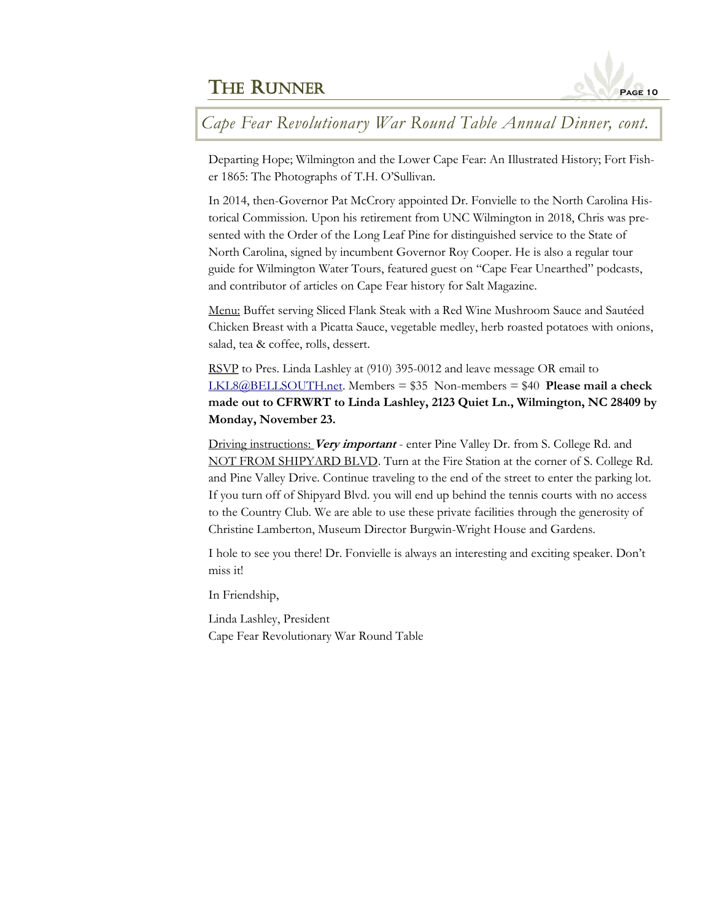

*Cape Fear Revolutionary War Round Table Annual Dinner, cont.*

Departing Hope; Wilmington and the Lower Cape Fear: An Illustrated History; Fort Fisher 1865: The Photographs of T.H. O'Sullivan.

In 2014, then-Governor Pat McCrory appointed Dr. Fonvielle to the North Carolina Historical Commission. Upon his retirement from UNC Wilmington in 2018, Chris was presented with the Order of the Long Leaf Pine for distinguished service to the State of North Carolina, signed by incumbent Governor Roy Cooper. He is also a regular tour guide for Wilmington Water Tours, featured guest on "Cape Fear Unearthed" podcasts, and contributor of articles on Cape Fear history for Salt Magazine.

Menu: Buffet serving Sliced Flank Steak with a Red Wine Mushroom Sauce and Sautéed Chicken Breast with a Picatta Sauce, vegetable medley, herb roasted potatoes with onions, salad, tea & coffee, rolls, dessert.

RSVP to Pres. Linda Lashley at (910) 395-0012 and leave message OR email to [LKL8@BELLSOUTH.net.](mailto:LKL8@BELLSOUTH.net?subject=CFRWRT%20Annual%20Dinner%20Meeting) Members = \$35 Non-members = \$40 **Please mail a check made out to CFRWRT to Linda Lashley, 2123 Quiet Ln., Wilmington, NC 28409 by Monday, November 23.**

Driving instructions: **Very important** - enter Pine Valley Dr. from S. College Rd. and NOT FROM SHIPYARD BLVD. Turn at the Fire Station at the corner of S. College Rd. and Pine Valley Drive. Continue traveling to the end of the street to enter the parking lot. If you turn off of Shipyard Blvd. you will end up behind the tennis courts with no access to the Country Club. We are able to use these private facilities through the generosity of Christine Lamberton, Museum Director Burgwin-Wright House and Gardens.

I hole to see you there! Dr. Fonvielle is always an interesting and exciting speaker. Don't miss it!

In Friendship,

Linda Lashley, President Cape Fear Revolutionary War Round Table